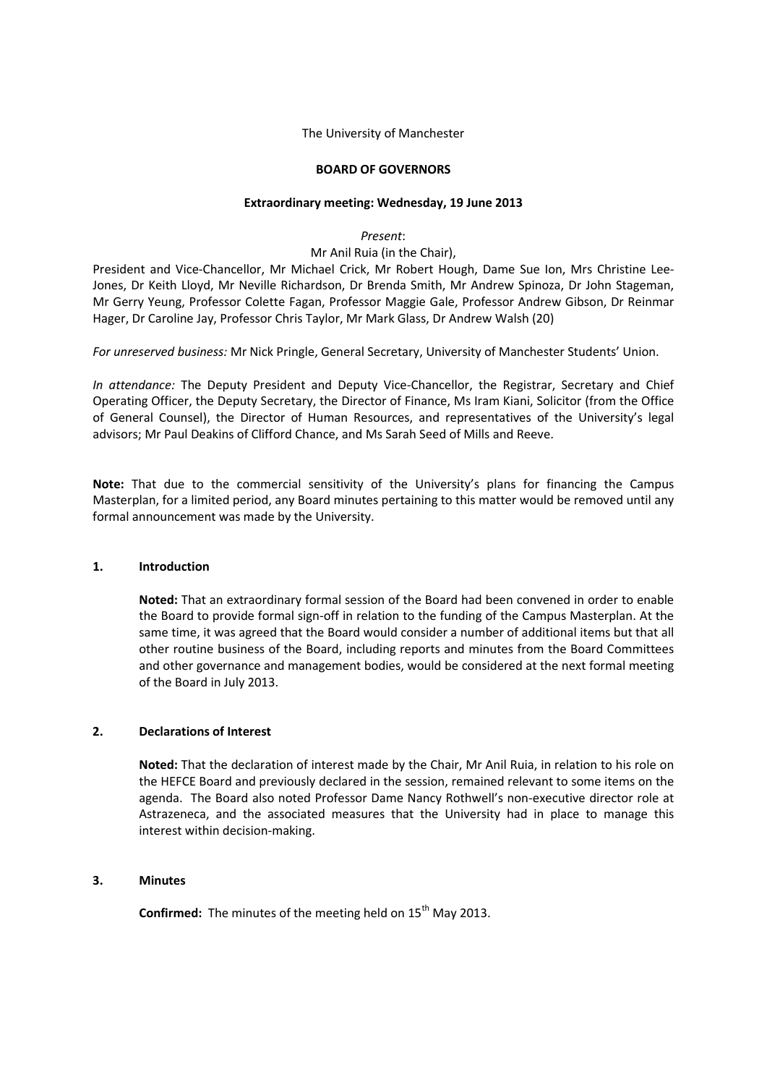The University of Manchester

### **BOARD OF GOVERNORS**

#### **Extraordinary meeting: Wednesday, 19 June 2013**

*Present*:

Mr Anil Ruia (in the Chair),

President and Vice-Chancellor, Mr Michael Crick, Mr Robert Hough, Dame Sue Ion, Mrs Christine Lee-Jones, Dr Keith Lloyd, Mr Neville Richardson, Dr Brenda Smith, Mr Andrew Spinoza, Dr John Stageman, Mr Gerry Yeung, Professor Colette Fagan, Professor Maggie Gale, Professor Andrew Gibson, Dr Reinmar Hager, Dr Caroline Jay, Professor Chris Taylor, Mr Mark Glass, Dr Andrew Walsh (20)

*For unreserved business:* Mr Nick Pringle, General Secretary, University of Manchester Students' Union.

*In attendance:* The Deputy President and Deputy Vice-Chancellor, the Registrar, Secretary and Chief Operating Officer, the Deputy Secretary, the Director of Finance, Ms Iram Kiani, Solicitor (from the Office of General Counsel), the Director of Human Resources, and representatives of the University's legal advisors; Mr Paul Deakins of Clifford Chance, and Ms Sarah Seed of Mills and Reeve.

**Note:** That due to the commercial sensitivity of the University's plans for financing the Campus Masterplan, for a limited period, any Board minutes pertaining to this matter would be removed until any formal announcement was made by the University.

### **1. Introduction**

**Noted:** That an extraordinary formal session of the Board had been convened in order to enable the Board to provide formal sign-off in relation to the funding of the Campus Masterplan. At the same time, it was agreed that the Board would consider a number of additional items but that all other routine business of the Board, including reports and minutes from the Board Committees and other governance and management bodies, would be considered at the next formal meeting of the Board in July 2013.

## **2. Declarations of Interest**

**Noted:** That the declaration of interest made by the Chair, Mr Anil Ruia, in relation to his role on the HEFCE Board and previously declared in the session, remained relevant to some items on the agenda. The Board also noted Professor Dame Nancy Rothwell's non-executive director role at Astrazeneca, and the associated measures that the University had in place to manage this interest within decision-making.

## **3. Minutes**

**Confirmed:** The minutes of the meeting held on 15<sup>th</sup> May 2013.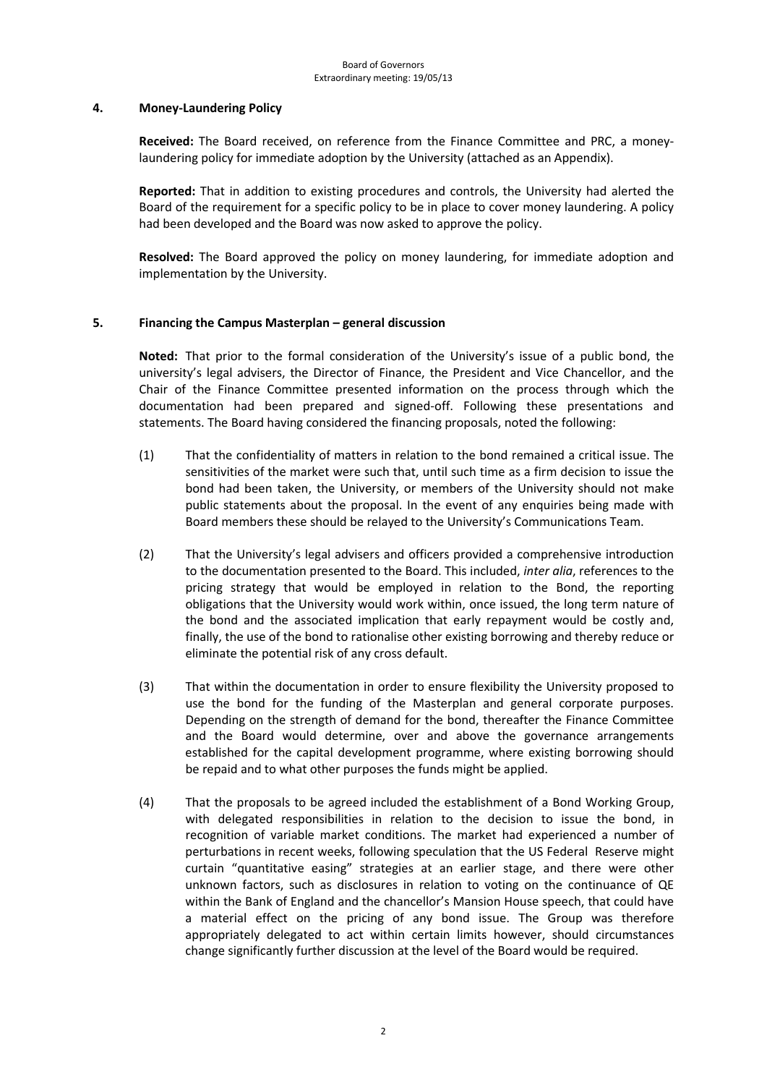### **4. Money-Laundering Policy**

**Received:** The Board received, on reference from the Finance Committee and PRC, a moneylaundering policy for immediate adoption by the University (attached as an Appendix).

**Reported:** That in addition to existing procedures and controls, the University had alerted the Board of the requirement for a specific policy to be in place to cover money laundering. A policy had been developed and the Board was now asked to approve the policy.

**Resolved:** The Board approved the policy on money laundering, for immediate adoption and implementation by the University.

## **5. Financing the Campus Masterplan – general discussion**

**Noted:** That prior to the formal consideration of the University's issue of a public bond, the university's legal advisers, the Director of Finance, the President and Vice Chancellor, and the Chair of the Finance Committee presented information on the process through which the documentation had been prepared and signed-off. Following these presentations and statements. The Board having considered the financing proposals, noted the following:

- (1) That the confidentiality of matters in relation to the bond remained a critical issue. The sensitivities of the market were such that, until such time as a firm decision to issue the bond had been taken, the University, or members of the University should not make public statements about the proposal. In the event of any enquiries being made with Board members these should be relayed to the University's Communications Team.
- (2) That the University's legal advisers and officers provided a comprehensive introduction to the documentation presented to the Board. This included, *inter alia*, references to the pricing strategy that would be employed in relation to the Bond, the reporting obligations that the University would work within, once issued, the long term nature of the bond and the associated implication that early repayment would be costly and, finally, the use of the bond to rationalise other existing borrowing and thereby reduce or eliminate the potential risk of any cross default.
- (3) That within the documentation in order to ensure flexibility the University proposed to use the bond for the funding of the Masterplan and general corporate purposes. Depending on the strength of demand for the bond, thereafter the Finance Committee and the Board would determine, over and above the governance arrangements established for the capital development programme, where existing borrowing should be repaid and to what other purposes the funds might be applied.
- (4) That the proposals to be agreed included the establishment of a Bond Working Group, with delegated responsibilities in relation to the decision to issue the bond, in recognition of variable market conditions. The market had experienced a number of perturbations in recent weeks, following speculation that the US Federal Reserve might curtain "quantitative easing" strategies at an earlier stage, and there were other unknown factors, such as disclosures in relation to voting on the continuance of QE within the Bank of England and the chancellor's Mansion House speech, that could have a material effect on the pricing of any bond issue. The Group was therefore appropriately delegated to act within certain limits however, should circumstances change significantly further discussion at the level of the Board would be required.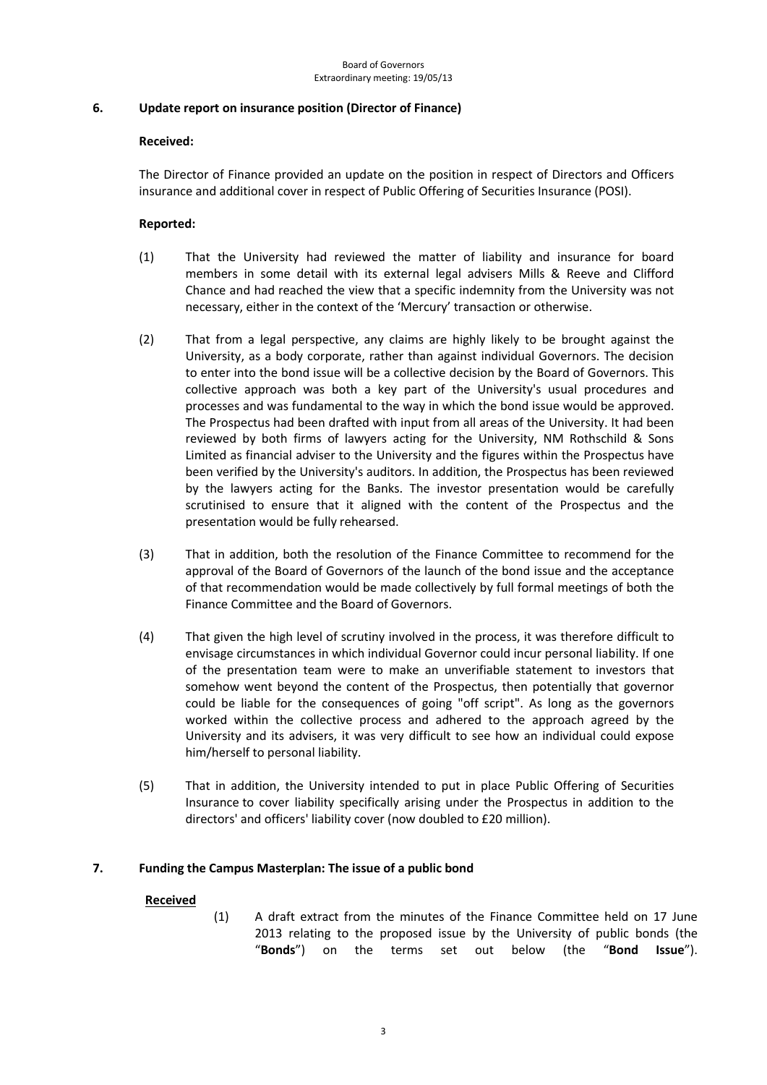## **6. Update report on insurance position (Director of Finance)**

## **Received:**

The Director of Finance provided an update on the position in respect of Directors and Officers insurance and additional cover in respect of Public Offering of Securities Insurance (POSI).

## **Reported:**

- (1) That the University had reviewed the matter of liability and insurance for board members in some detail with its external legal advisers Mills & Reeve and Clifford Chance and had reached the view that a specific indemnity from the University was not necessary, either in the context of the 'Mercury' transaction or otherwise.
- (2) That from a legal perspective, any claims are highly likely to be brought against the University, as a body corporate, rather than against individual Governors. The decision to enter into the bond issue will be a collective decision by the Board of Governors. This collective approach was both a key part of the University's usual procedures and processes and was fundamental to the way in which the bond issue would be approved. The Prospectus had been drafted with input from all areas of the University. It had been reviewed by both firms of lawyers acting for the University, NM Rothschild & Sons Limited as financial adviser to the University and the figures within the Prospectus have been verified by the University's auditors. In addition, the Prospectus has been reviewed by the lawyers acting for the Banks. The investor presentation would be carefully scrutinised to ensure that it aligned with the content of the Prospectus and the presentation would be fully rehearsed.
- (3) That in addition, both the resolution of the Finance Committee to recommend for the approval of the Board of Governors of the launch of the bond issue and the acceptance of that recommendation would be made collectively by full formal meetings of both the Finance Committee and the Board of Governors.
- (4) That given the high level of scrutiny involved in the process, it was therefore difficult to envisage circumstances in which individual Governor could incur personal liability. If one of the presentation team were to make an unverifiable statement to investors that somehow went beyond the content of the Prospectus, then potentially that governor could be liable for the consequences of going "off script". As long as the governors worked within the collective process and adhered to the approach agreed by the University and its advisers, it was very difficult to see how an individual could expose him/herself to personal liability.
- (5) That in addition, the University intended to put in place Public Offering of Securities Insurance to cover liability specifically arising under the Prospectus in addition to the directors' and officers' liability cover (now doubled to £20 million).

## **7. Funding the Campus Masterplan: The issue of a public bond**

## **Received**

(1) A draft extract from the minutes of the Finance Committee held on 17 June 2013 relating to the proposed issue by the University of public bonds (the "**Bonds**") on the terms set out below (the "**Bond Issue**").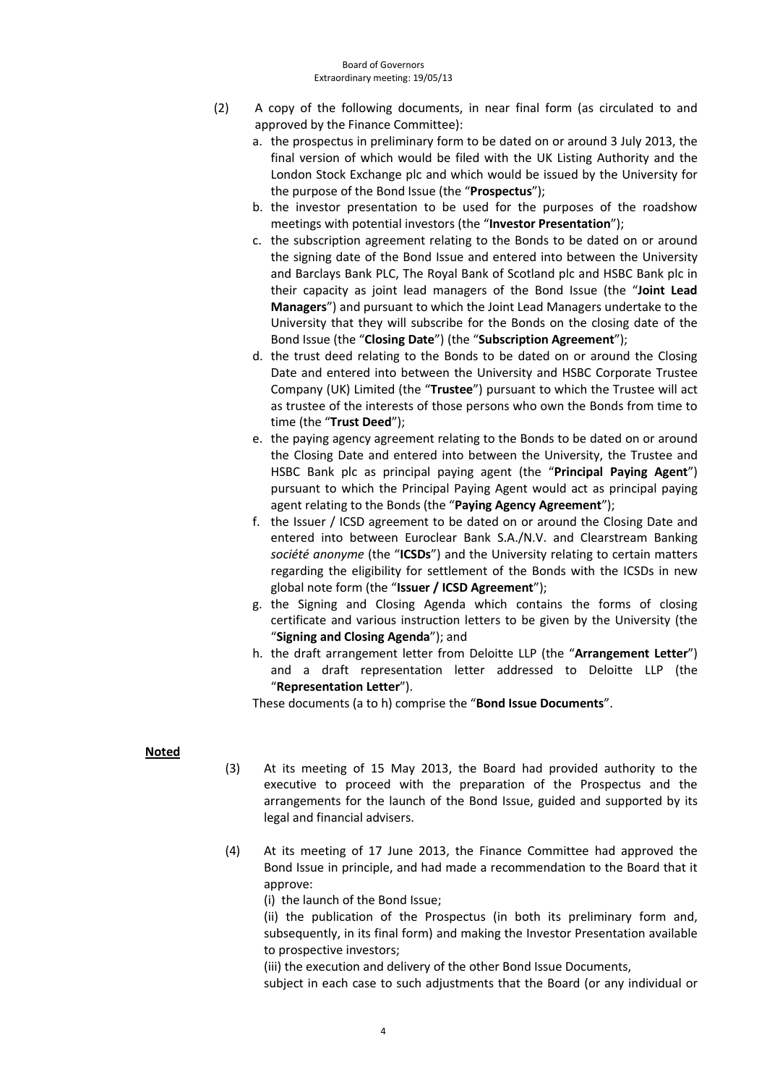- (2) A copy of the following documents, in near final form (as circulated to and approved by the Finance Committee):
	- a. the prospectus in preliminary form to be dated on or around 3 July 2013, the final version of which would be filed with the UK Listing Authority and the London Stock Exchange plc and which would be issued by the University for the purpose of the Bond Issue (the "**Prospectus**");
	- b. the investor presentation to be used for the purposes of the roadshow meetings with potential investors (the "**Investor Presentation**");
	- c. the subscription agreement relating to the Bonds to be dated on or around the signing date of the Bond Issue and entered into between the University and Barclays Bank PLC, The Royal Bank of Scotland plc and HSBC Bank plc in their capacity as joint lead managers of the Bond Issue (the "**Joint Lead Managers**") and pursuant to which the Joint Lead Managers undertake to the University that they will subscribe for the Bonds on the closing date of the Bond Issue (the "**Closing Date**") (the "**Subscription Agreement**");
	- d. the trust deed relating to the Bonds to be dated on or around the Closing Date and entered into between the University and HSBC Corporate Trustee Company (UK) Limited (the "**Trustee**") pursuant to which the Trustee will act as trustee of the interests of those persons who own the Bonds from time to time (the "**Trust Deed**");
	- e. the paying agency agreement relating to the Bonds to be dated on or around the Closing Date and entered into between the University, the Trustee and HSBC Bank plc as principal paying agent (the "**Principal Paying Agent**") pursuant to which the Principal Paying Agent would act as principal paying agent relating to the Bonds (the "**Paying Agency Agreement**");
	- f. the Issuer / ICSD agreement to be dated on or around the Closing Date and entered into between Euroclear Bank S.A./N.V. and Clearstream Banking *société anonyme* (the "**ICSDs**") and the University relating to certain matters regarding the eligibility for settlement of the Bonds with the ICSDs in new global note form (the "**Issuer / ICSD Agreement**");
	- g. the Signing and Closing Agenda which contains the forms of closing certificate and various instruction letters to be given by the University (the "**Signing and Closing Agenda**"); and
	- h. the draft arrangement letter from Deloitte LLP (the "**Arrangement Letter**") and a draft representation letter addressed to Deloitte LLP (the "**Representation Letter**").

These documents (a to h) comprise the "**Bond Issue Documents**".

## **Noted**

- (3) At its meeting of 15 May 2013, the Board had provided authority to the executive to proceed with the preparation of the Prospectus and the arrangements for the launch of the Bond Issue, guided and supported by its legal and financial advisers.
- (4) At its meeting of 17 June 2013, the Finance Committee had approved the Bond Issue in principle, and had made a recommendation to the Board that it approve:

(i) the launch of the Bond Issue;

(ii) the publication of the Prospectus (in both its preliminary form and, subsequently, in its final form) and making the Investor Presentation available to prospective investors;

(iii) the execution and delivery of the other Bond Issue Documents,

subject in each case to such adjustments that the Board (or any individual or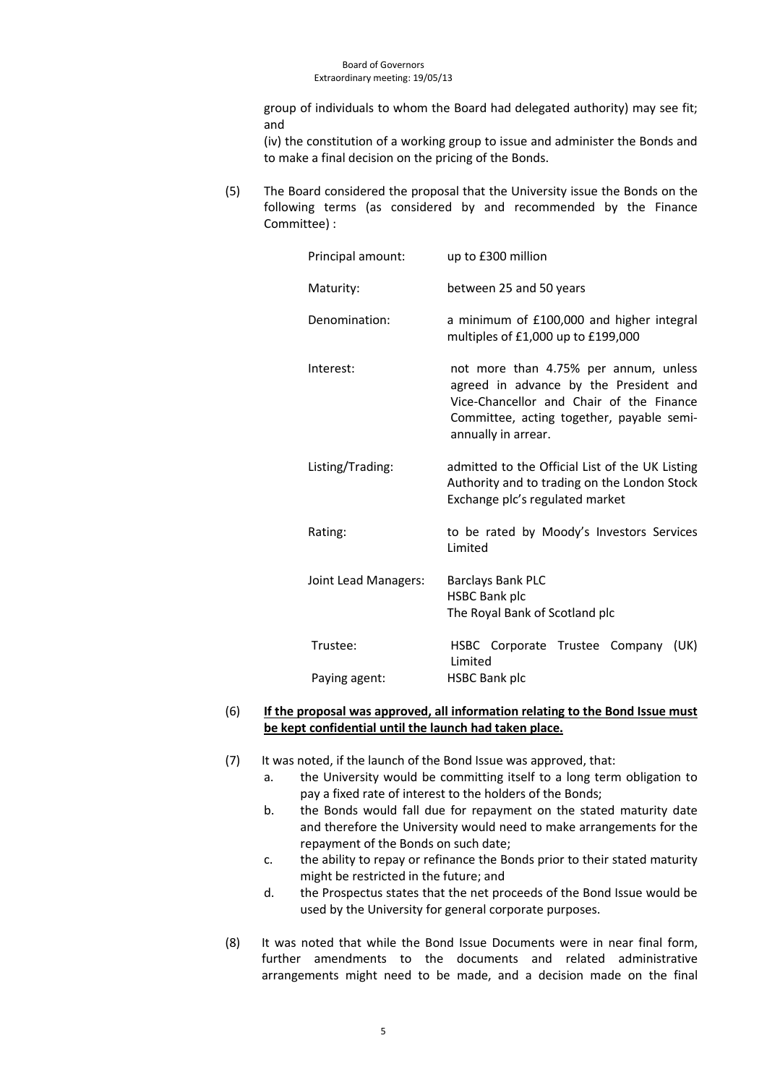group of individuals to whom the Board had delegated authority) may see fit; and

(iv) the constitution of a working group to issue and administer the Bonds and to make a final decision on the pricing of the Bonds.

(5) The Board considered the proposal that the University issue the Bonds on the following terms (as considered by and recommended by the Finance Committee) :

| Principal amount:    | up to £300 million                                                                                                                                                                              |
|----------------------|-------------------------------------------------------------------------------------------------------------------------------------------------------------------------------------------------|
| Maturity:            | between 25 and 50 years                                                                                                                                                                         |
| Denomination:        | a minimum of £100,000 and higher integral<br>multiples of £1,000 up to £199,000                                                                                                                 |
| Interest:            | not more than 4.75% per annum, unless<br>agreed in advance by the President and<br>Vice-Chancellor and Chair of the Finance<br>Committee, acting together, payable semi-<br>annually in arrear. |
| Listing/Trading:     | admitted to the Official List of the UK Listing<br>Authority and to trading on the London Stock<br>Exchange plc's regulated market                                                              |
| Rating:              | to be rated by Moody's Investors Services<br>Limited                                                                                                                                            |
| Joint Lead Managers: | <b>Barclays Bank PLC</b><br><b>HSBC Bank plc</b><br>The Royal Bank of Scotland plc                                                                                                              |
| Trustee:             | HSBC Corporate Trustee Company (UK)<br>Limited                                                                                                                                                  |
| Paying agent:        | <b>HSBC Bank plc</b>                                                                                                                                                                            |

### (6) **If the proposal was approved, all information relating to the Bond Issue must be kept confidential until the launch had taken place.**

- (7) It was noted, if the launch of the Bond Issue was approved, that:
	- a. the University would be committing itself to a long term obligation to pay a fixed rate of interest to the holders of the Bonds;
	- b. the Bonds would fall due for repayment on the stated maturity date and therefore the University would need to make arrangements for the repayment of the Bonds on such date;
	- c. the ability to repay or refinance the Bonds prior to their stated maturity might be restricted in the future; and
	- d. the Prospectus states that the net proceeds of the Bond Issue would be used by the University for general corporate purposes.
- (8) It was noted that while the Bond Issue Documents were in near final form, further amendments to the documents and related administrative arrangements might need to be made, and a decision made on the final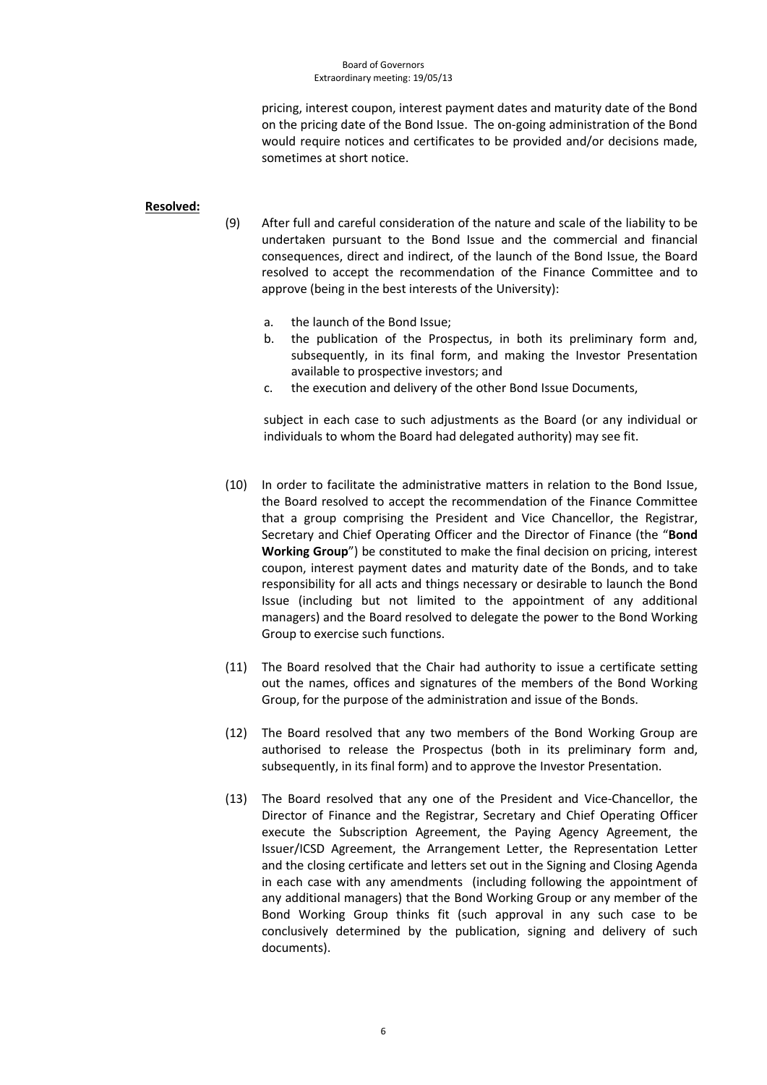#### Board of Governors Extraordinary meeting: 19/05/13

pricing, interest coupon, interest payment dates and maturity date of the Bond on the pricing date of the Bond Issue. The on-going administration of the Bond would require notices and certificates to be provided and/or decisions made, sometimes at short notice.

### **Resolved:**

- (9) After full and careful consideration of the nature and scale of the liability to be undertaken pursuant to the Bond Issue and the commercial and financial consequences, direct and indirect, of the launch of the Bond Issue, the Board resolved to accept the recommendation of the Finance Committee and to approve (being in the best interests of the University):
	- a. the launch of the Bond Issue;
	- b. the publication of the Prospectus, in both its preliminary form and, subsequently, in its final form, and making the Investor Presentation available to prospective investors; and
	- c. the execution and delivery of the other Bond Issue Documents,

subject in each case to such adjustments as the Board (or any individual or individuals to whom the Board had delegated authority) may see fit.

- (10) In order to facilitate the administrative matters in relation to the Bond Issue, the Board resolved to accept the recommendation of the Finance Committee that a group comprising the President and Vice Chancellor, the Registrar, Secretary and Chief Operating Officer and the Director of Finance (the "**Bond Working Group**") be constituted to make the final decision on pricing, interest coupon, interest payment dates and maturity date of the Bonds, and to take responsibility for all acts and things necessary or desirable to launch the Bond Issue (including but not limited to the appointment of any additional managers) and the Board resolved to delegate the power to the Bond Working Group to exercise such functions.
- (11) The Board resolved that the Chair had authority to issue a certificate setting out the names, offices and signatures of the members of the Bond Working Group, for the purpose of the administration and issue of the Bonds.
- (12) The Board resolved that any two members of the Bond Working Group are authorised to release the Prospectus (both in its preliminary form and, subsequently, in its final form) and to approve the Investor Presentation.
- (13) The Board resolved that any one of the President and Vice-Chancellor, the Director of Finance and the Registrar, Secretary and Chief Operating Officer execute the Subscription Agreement, the Paying Agency Agreement, the Issuer/ICSD Agreement, the Arrangement Letter, the Representation Letter and the closing certificate and letters set out in the Signing and Closing Agenda in each case with any amendments (including following the appointment of any additional managers) that the Bond Working Group or any member of the Bond Working Group thinks fit (such approval in any such case to be conclusively determined by the publication, signing and delivery of such documents).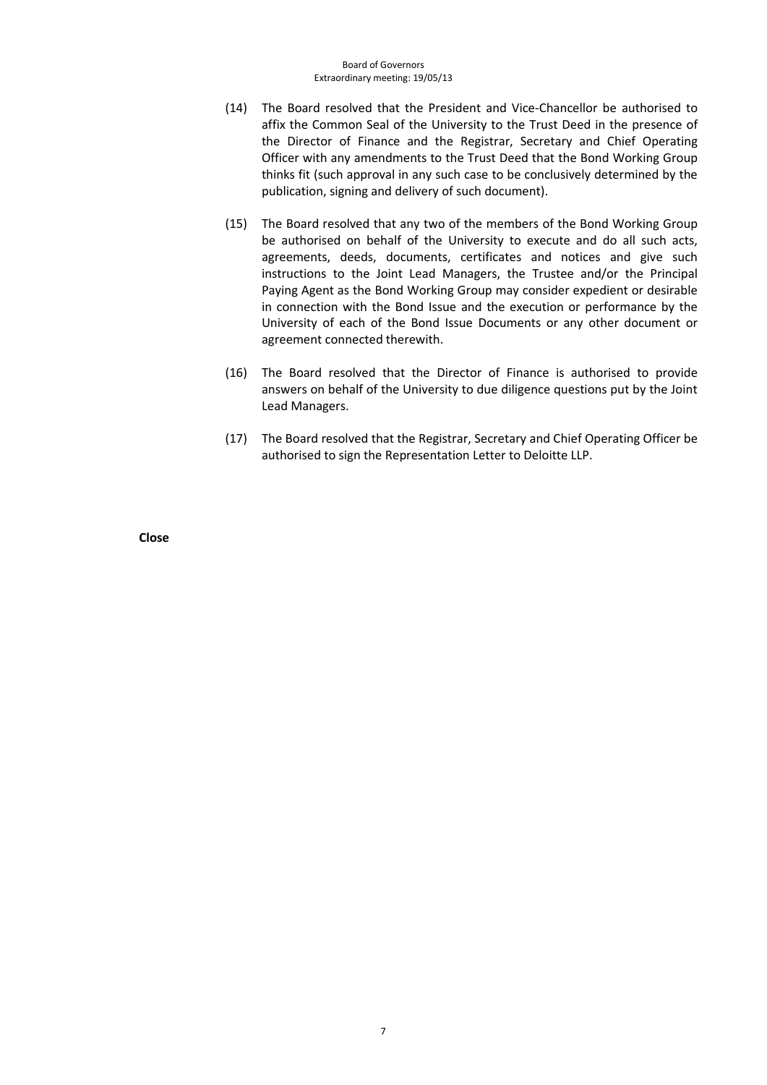- (14) The Board resolved that the President and Vice-Chancellor be authorised to affix the Common Seal of the University to the Trust Deed in the presence of the Director of Finance and the Registrar, Secretary and Chief Operating Officer with any amendments to the Trust Deed that the Bond Working Group thinks fit (such approval in any such case to be conclusively determined by the publication, signing and delivery of such document).
- (15) The Board resolved that any two of the members of the Bond Working Group be authorised on behalf of the University to execute and do all such acts, agreements, deeds, documents, certificates and notices and give such instructions to the Joint Lead Managers, the Trustee and/or the Principal Paying Agent as the Bond Working Group may consider expedient or desirable in connection with the Bond Issue and the execution or performance by the University of each of the Bond Issue Documents or any other document or agreement connected therewith.
- (16) The Board resolved that the Director of Finance is authorised to provide answers on behalf of the University to due diligence questions put by the Joint Lead Managers.
- (17) The Board resolved that the Registrar, Secretary and Chief Operating Officer be authorised to sign the Representation Letter to Deloitte LLP.

**Close**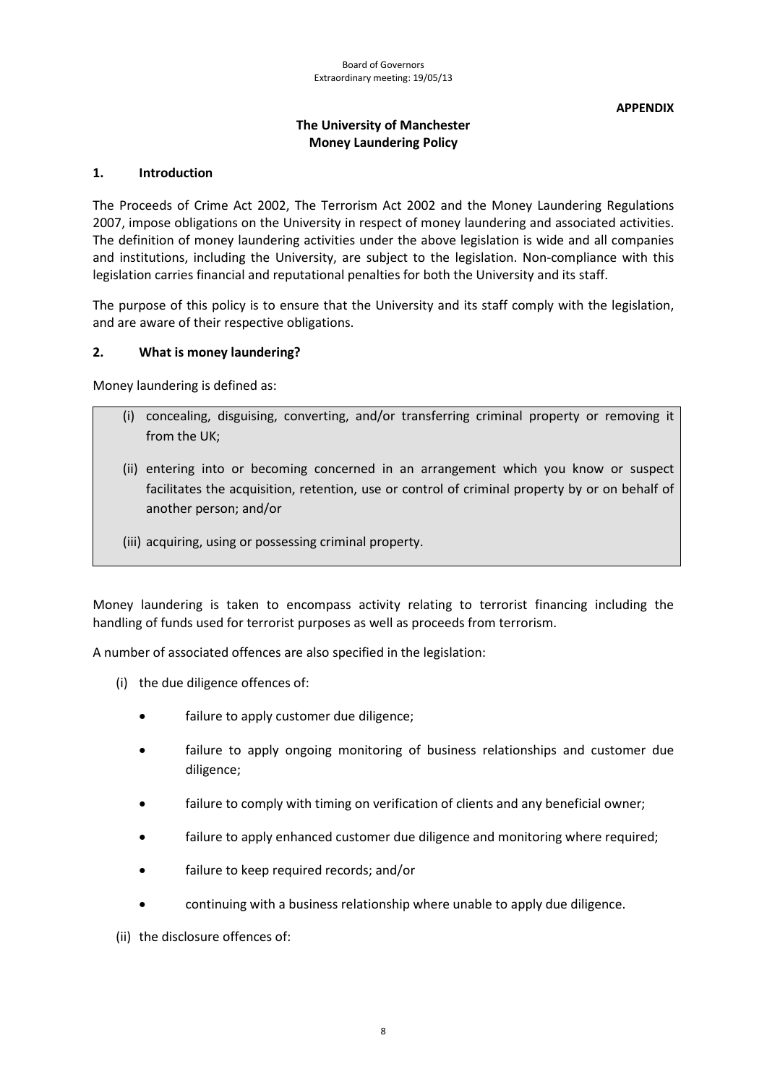**APPENDIX**

# **The University of Manchester Money Laundering Policy**

## **1. Introduction**

The Proceeds of Crime Act 2002, The Terrorism Act 2002 and the Money Laundering Regulations 2007, impose obligations on the University in respect of money laundering and associated activities. The definition of money laundering activities under the above legislation is wide and all companies and institutions, including the University, are subject to the legislation. Non-compliance with this legislation carries financial and reputational penalties for both the University and its staff.

The purpose of this policy is to ensure that the University and its staff comply with the legislation, and are aware of their respective obligations.

## **2. What is money laundering?**

Money laundering is defined as:

- (i) concealing, disguising, converting, and/or transferring criminal property or removing it from the UK;
- (ii) entering into or becoming concerned in an arrangement which you know or suspect facilitates the acquisition, retention, use or control of criminal property by or on behalf of another person; and/or
- (iii) acquiring, using or possessing criminal property.

Money laundering is taken to encompass activity relating to terrorist financing including the handling of funds used for terrorist purposes as well as proceeds from terrorism.

A number of associated offences are also specified in the legislation:

- (i) the due diligence offences of:
	- failure to apply customer due diligence;
	- failure to apply ongoing monitoring of business relationships and customer due diligence;
	- failure to comply with timing on verification of clients and any beneficial owner;
	- failure to apply enhanced customer due diligence and monitoring where required;
	- failure to keep required records; and/or
	- continuing with a business relationship where unable to apply due diligence.

(ii) the disclosure offences of: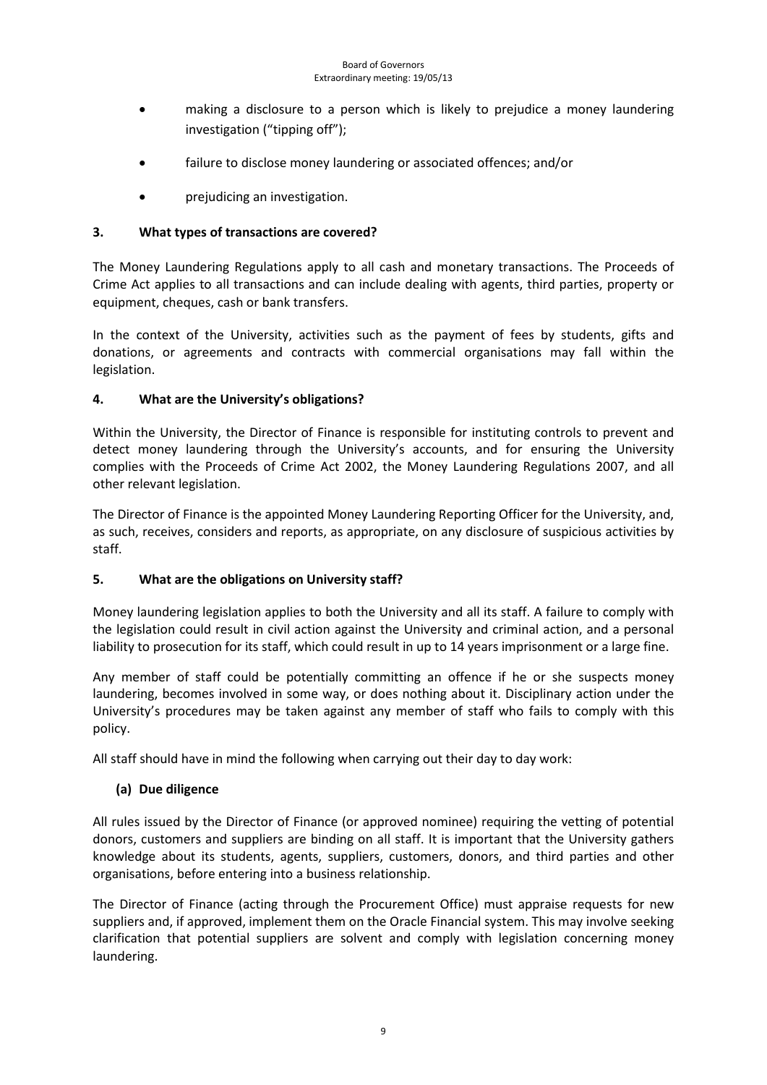- making a disclosure to a person which is likely to prejudice a money laundering investigation ("tipping off");
- failure to disclose money laundering or associated offences; and/or
- prejudicing an investigation.

# **3. What types of transactions are covered?**

The Money Laundering Regulations apply to all cash and monetary transactions. The Proceeds of Crime Act applies to all transactions and can include dealing with agents, third parties, property or equipment, cheques, cash or bank transfers.

In the context of the University, activities such as the payment of fees by students, gifts and donations, or agreements and contracts with commercial organisations may fall within the legislation.

## **4. What are the University's obligations?**

Within the University, the Director of Finance is responsible for instituting controls to prevent and detect money laundering through the University's accounts, and for ensuring the University complies with the Proceeds of Crime Act 2002, the Money Laundering Regulations 2007, and all other relevant legislation.

The Director of Finance is the appointed Money Laundering Reporting Officer for the University, and, as such, receives, considers and reports, as appropriate, on any disclosure of suspicious activities by staff.

## **5. What are the obligations on University staff?**

Money laundering legislation applies to both the University and all its staff. A failure to comply with the legislation could result in civil action against the University and criminal action, and a personal liability to prosecution for its staff, which could result in up to 14 years imprisonment or a large fine.

Any member of staff could be potentially committing an offence if he or she suspects money laundering, becomes involved in some way, or does nothing about it. Disciplinary action under the University's procedures may be taken against any member of staff who fails to comply with this policy.

All staff should have in mind the following when carrying out their day to day work:

# **(a) Due diligence**

All rules issued by the Director of Finance (or approved nominee) requiring the vetting of potential donors, customers and suppliers are binding on all staff. It is important that the University gathers knowledge about its students, agents, suppliers, customers, donors, and third parties and other organisations, before entering into a business relationship.

The Director of Finance (acting through the Procurement Office) must appraise requests for new suppliers and, if approved, implement them on the Oracle Financial system. This may involve seeking clarification that potential suppliers are solvent and comply with legislation concerning money laundering.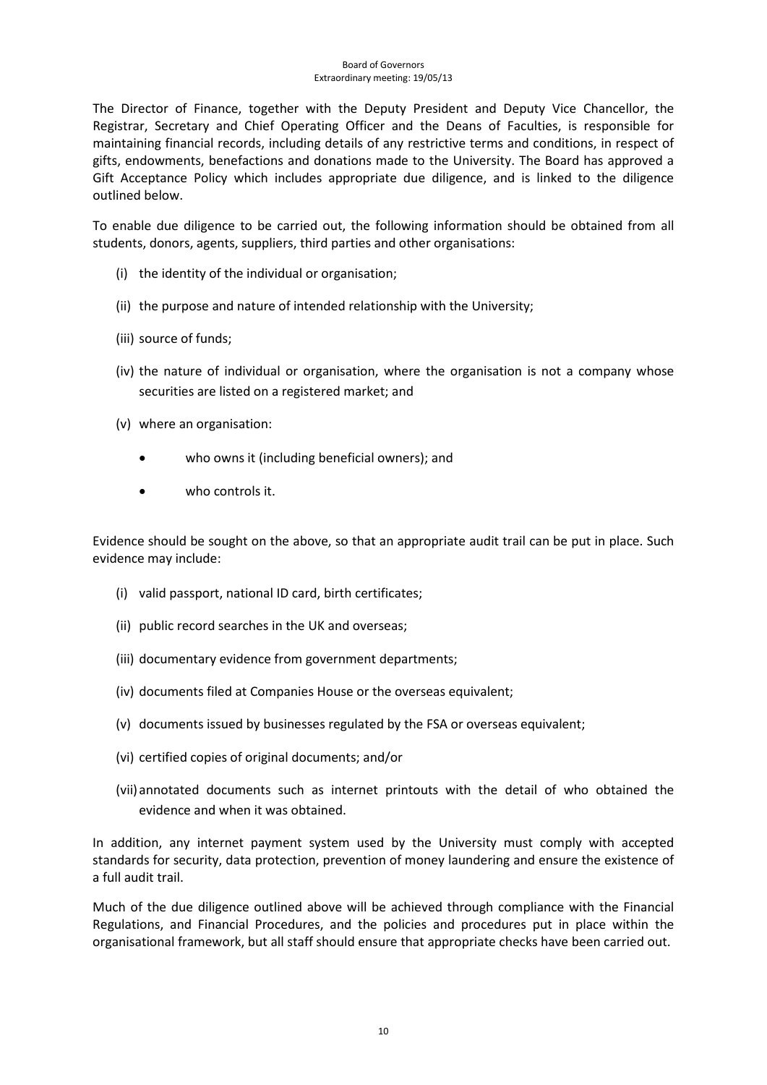#### Board of Governors Extraordinary meeting: 19/05/13

The Director of Finance, together with the Deputy President and Deputy Vice Chancellor, the Registrar, Secretary and Chief Operating Officer and the Deans of Faculties, is responsible for maintaining financial records, including details of any restrictive terms and conditions, in respect of gifts, endowments, benefactions and donations made to the University. The Board has approved a Gift Acceptance Policy which includes appropriate due diligence, and is linked to the diligence outlined below.

To enable due diligence to be carried out, the following information should be obtained from all students, donors, agents, suppliers, third parties and other organisations:

- (i) the identity of the individual or organisation;
- (ii) the purpose and nature of intended relationship with the University;
- (iii) source of funds;
- (iv) the nature of individual or organisation, where the organisation is not a company whose securities are listed on a registered market; and
- (v) where an organisation:
	- who owns it (including beneficial owners); and
	- who controls it.

Evidence should be sought on the above, so that an appropriate audit trail can be put in place. Such evidence may include:

- (i) valid passport, national ID card, birth certificates;
- (ii) public record searches in the UK and overseas;
- (iii) documentary evidence from government departments;
- (iv) documents filed at Companies House or the overseas equivalent;
- (v) documents issued by businesses regulated by the FSA or overseas equivalent;
- (vi) certified copies of original documents; and/or
- (vii)annotated documents such as internet printouts with the detail of who obtained the evidence and when it was obtained.

In addition, any internet payment system used by the University must comply with accepted standards for security, data protection, prevention of money laundering and ensure the existence of a full audit trail.

Much of the due diligence outlined above will be achieved through compliance with the Financial Regulations, and Financial Procedures, and the policies and procedures put in place within the organisational framework, but all staff should ensure that appropriate checks have been carried out.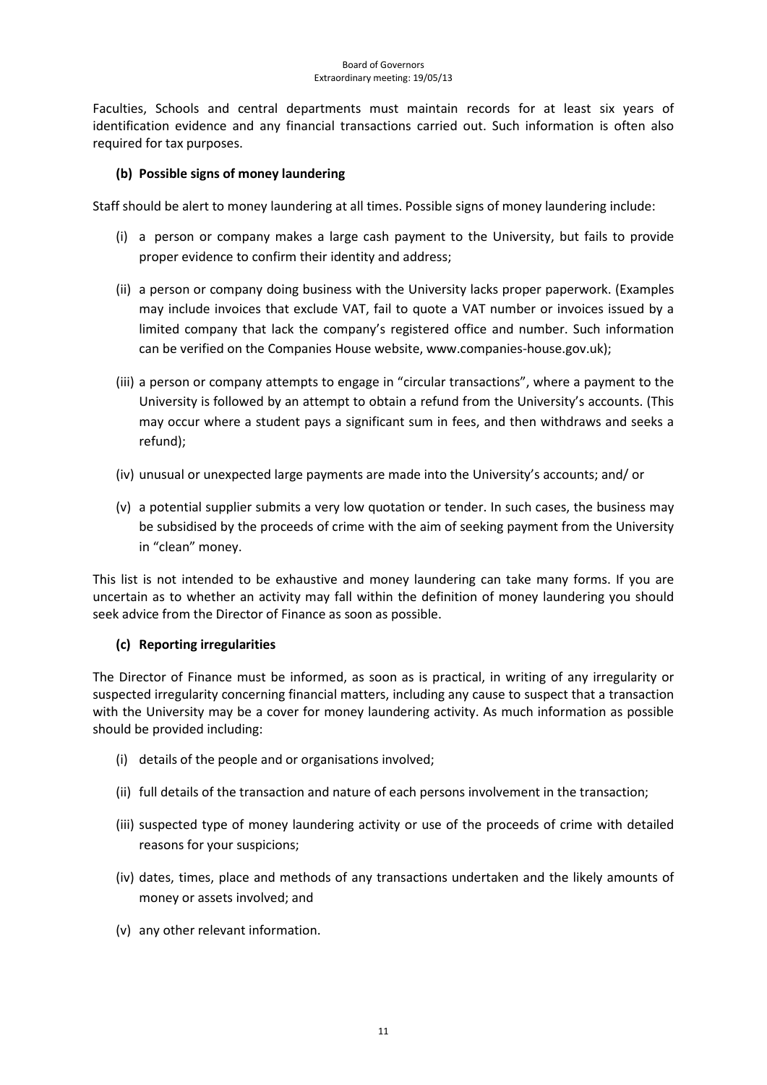Faculties, Schools and central departments must maintain records for at least six years of identification evidence and any financial transactions carried out. Such information is often also required for tax purposes.

## **(b) Possible signs of money laundering**

Staff should be alert to money laundering at all times. Possible signs of money laundering include:

- (i) a person or company makes a large cash payment to the University, but fails to provide proper evidence to confirm their identity and address;
- (ii) a person or company doing business with the University lacks proper paperwork. (Examples may include invoices that exclude VAT, fail to quote a VAT number or invoices issued by a limited company that lack the company's registered office and number. Such information can be verified on the Companies House website, [www.companies-house.gov.uk\)](http://www.companies-house.gov.uk/);
- (iii) a person or company attempts to engage in "circular transactions", where a payment to the University is followed by an attempt to obtain a refund from the University's accounts. (This may occur where a student pays a significant sum in fees, and then withdraws and seeks a refund);
- (iv) unusual or unexpected large payments are made into the University's accounts; and/ or
- (v) a potential supplier submits a very low quotation or tender. In such cases, the business may be subsidised by the proceeds of crime with the aim of seeking payment from the University in "clean" money.

This list is not intended to be exhaustive and money laundering can take many forms. If you are uncertain as to whether an activity may fall within the definition of money laundering you should seek advice from the Director of Finance as soon as possible.

## **(c) Reporting irregularities**

The Director of Finance must be informed, as soon as is practical, in writing of any irregularity or suspected irregularity concerning financial matters, including any cause to suspect that a transaction with the University may be a cover for money laundering activity. As much information as possible should be provided including:

- (i) details of the people and or organisations involved;
- (ii) full details of the transaction and nature of each persons involvement in the transaction;
- (iii) suspected type of money laundering activity or use of the proceeds of crime with detailed reasons for your suspicions;
- (iv) dates, times, place and methods of any transactions undertaken and the likely amounts of money or assets involved; and
- (v) any other relevant information.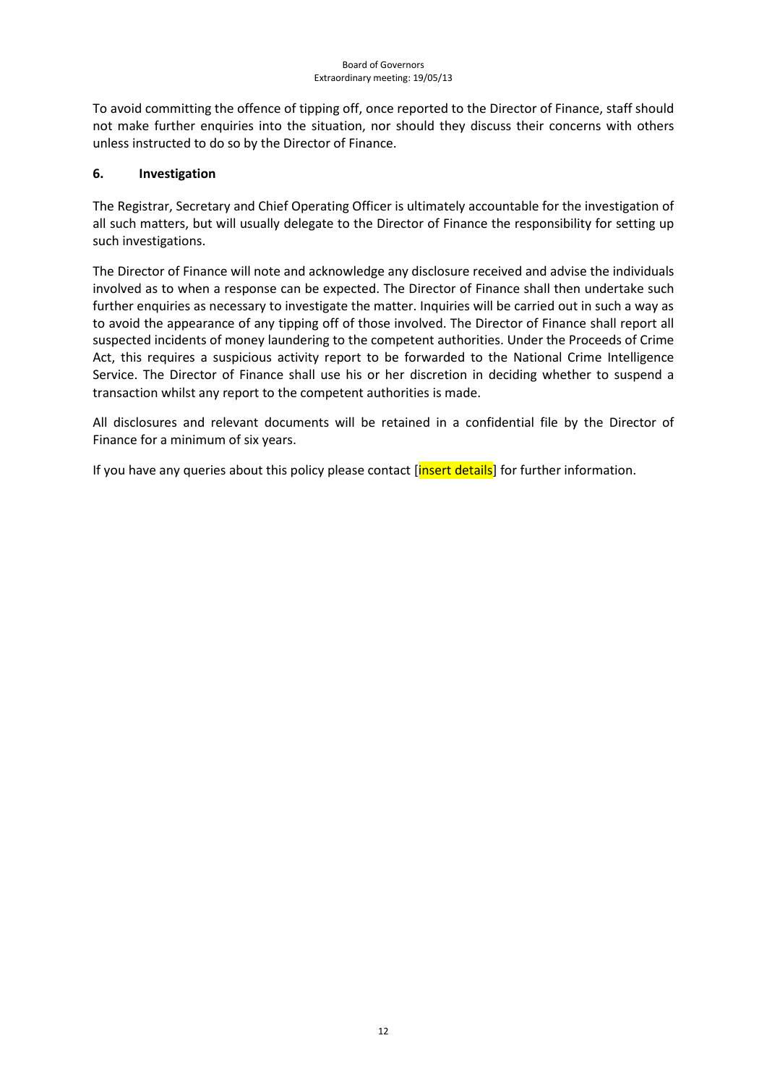To avoid committing the offence of tipping off, once reported to the Director of Finance, staff should not make further enquiries into the situation, nor should they discuss their concerns with others unless instructed to do so by the Director of Finance.

## **6. Investigation**

The Registrar, Secretary and Chief Operating Officer is ultimately accountable for the investigation of all such matters, but will usually delegate to the Director of Finance the responsibility for setting up such investigations.

The Director of Finance will note and acknowledge any disclosure received and advise the individuals involved as to when a response can be expected. The Director of Finance shall then undertake such further enquiries as necessary to investigate the matter. Inquiries will be carried out in such a way as to avoid the appearance of any tipping off of those involved. The Director of Finance shall report all suspected incidents of money laundering to the competent authorities. Under the Proceeds of Crime Act, this requires a suspicious activity report to be forwarded to the National Crime Intelligence Service. The Director of Finance shall use his or her discretion in deciding whether to suspend a transaction whilst any report to the competent authorities is made.

All disclosures and relevant documents will be retained in a confidential file by the Director of Finance for a minimum of six years.

If you have any queries about this policy please contact [insert details] for further information.